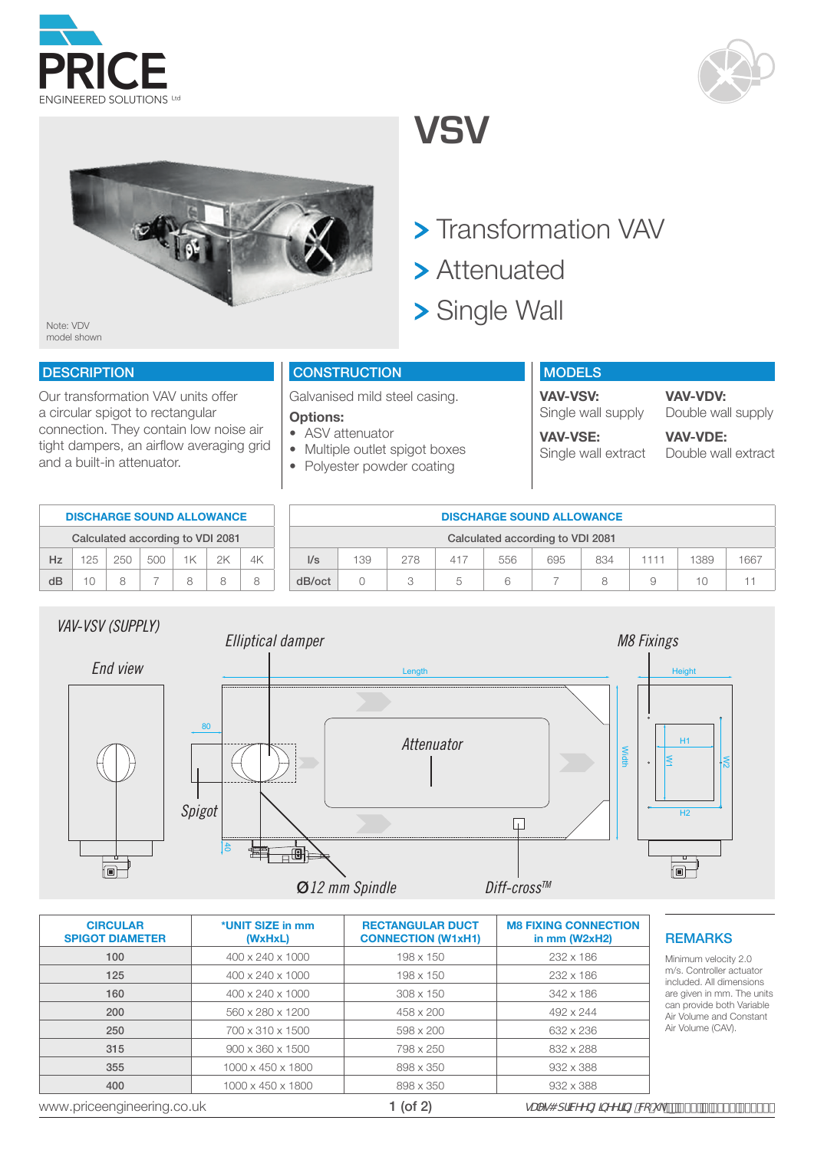





**VSV**

- > Transformation VAV
- > Attenuated
- > Single Wall

Note: VDV model shown

## **DESCRIPTION**

Our transformation VAV units offer a circular spigot to rectangular connection. They contain low noise air tight dampers, an airflow averaging grid and a built-in attenuator.

## **CONSTRUCTION**

Galvanised mild steel casing.

### **Options:**

- ASV attenuator
- Multiple outlet spigot boxes
- Polyester powder coating

| <b>MODELS</b>                         |                                     |
|---------------------------------------|-------------------------------------|
| <b>VAV-VSV:</b><br>Single wall supply | <b>VAV-VDV:</b><br>Double wall supr |
| <b>VAV-VSE:</b>                       | <b>VAV-VDE:</b>                     |
| Single wall extract                   | Double wall extra                   |

ply

act

|    | <b>DISCHARGE SOUND ALLOWANCE</b> |     |     |    |    | <b>DISCHARGE SOUND ALLOWANCE</b> |                                  |     |     |     |     |     |     |   |      |      |
|----|----------------------------------|-----|-----|----|----|----------------------------------|----------------------------------|-----|-----|-----|-----|-----|-----|---|------|------|
|    | Calculated according to VDI 2081 |     |     |    |    |                                  | Calculated according to VDI 2081 |     |     |     |     |     |     |   |      |      |
| Hz | 25                               | 250 | 500 | 1K | 2K | 4K                               | $\mathsf{I/s}$                   | 139 | 278 | 417 | 556 | 695 | 834 | . | 1389 | 1667 |
| dB | $\bigcirc$                       |     | -   |    |    |                                  | dB/oct                           |     |     |     | ĥ   |     |     | У |      | $-1$ |



| <b>CIRCULAR</b><br><b>SPIGOT DIAMETER</b> | *UNIT SIZE in mm<br>(WxHxL)  | <b>RECTANGULAR DUCT</b><br><b>CONNECTION (W1xH1)</b> | <b>M8 FIXING CONNECTION</b><br>in $mm$ (W2xH2) |
|-------------------------------------------|------------------------------|------------------------------------------------------|------------------------------------------------|
| 100                                       | 400 x 240 x 1000             | 198 x 150                                            | 232 x 186                                      |
| 125                                       | 400 x 240 x 1000             | 198 x 150                                            | 232 x 186                                      |
| 160                                       | 400 x 240 x 1000             | 308 x 150                                            | 342 x 186                                      |
| 200                                       | 560 x 280 x 1200             | 458 x 200                                            | 492 x 244                                      |
| 250                                       | 700 x 310 x 1500             | 598 x 200                                            | 632 x 236                                      |
| 315                                       | $900 \times 360 \times 1500$ | 798 x 250                                            | 832 x 288                                      |
| 355                                       | 1000 x 450 x 1800            | 898 x 350                                            | 932 x 388                                      |
| 400                                       | 1000 x 450 x 1800            | 898 x 350                                            | 932 x 388                                      |
| www.priceengineering.co.uk                |                              | 1 (of 2)                                             | <i>aUYg4 dfMYYb[ ]bYYf]b[ "Vc"i</i> c          |

40

**EMARKS** 

III:<br>le<br>1t are given in mm. The units Air Volume and Constant inimum velocity 2.0 m/s. Controller actuator cluded. All dimensions an provide both Variable Volume (CAV).

 $Z((\nabla\mathbb{B}P^2 + (\nabla\mathbb{B}P^2 + \nabla\mathbb{B}P^2 + \nabla\mathbb{B}P^2 + \nabla\mathbb{B}P^2 + \nabla\mathbb{B}P^2 + \nabla\mathbb{B}P^2 + \nabla\mathbb{B}P^2 + \nabla\mathbb{B}P^2 + \nabla\mathbb{B}P^2 + \nabla\mathbb{B}P^2 + \nabla\mathbb{B}P^2 + \nabla\mathbb{B}P^2 + \nabla\mathbb{B}P^2 + \nabla\mathbb{B}P^2 + \nabla\mathbb{$